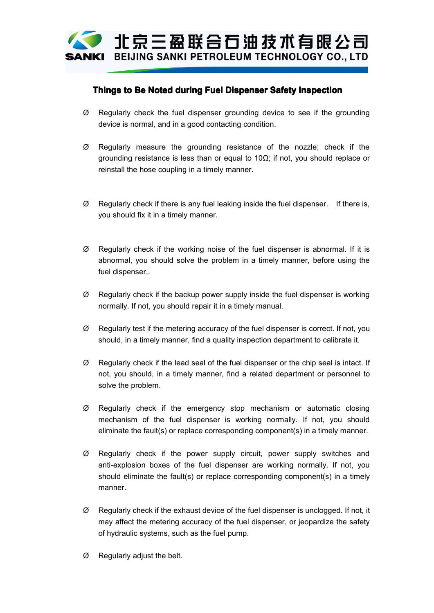

## **Things to Be Noted during Fuel Dispenser DispenserSafety Inspection**

- device is normal, and in <sup>a</sup> good contacting condition.
- $\emptyset$  Regularly check the fuel dispenser grounding device to see if the grounding device is normal, and in a good contacting condition.<br> $\emptyset$  Regularly measure the grounding resistance of the nozzle; check if the groundi  $\emptyset$  Regularly measure the grounding resistance of the nozzle; check if the grounding resistance is less than or equal to 10 $\Omega$ ; if not, you should replace or reinstall the hose coupling in a timely manner. grounding resistance is less than or equal to 10Ω; if not, you should replace or reinstall the hose coupling in <sup>a</sup> timely manner.
- <sup>Ø</sup> Regularly check if there is any fuel leaking inside the fuel dispenser. If thereis, you should fix it in <sup>a</sup> timely manner.
- <sup>Ø</sup> Regularly check if the working noise of the fuel dispenser is abnormal. If it is abnormal, you should solve the problem in <sup>a</sup> timely manner, before using the fuel dispenser,.
	- $\emptyset$  Regularly check if the backup power supply inside the fuel dispenser is working<br>normally. If not, you should repair it in a timely manual.<br> $\emptyset$  Regularly test if the metering accuracy of the fuel dispenser is corre normally. If not, you should repair it in <sup>a</sup> timely manual.
	- should, in <sup>a</sup> timely manner, find <sup>a</sup> quality inspection department to calibrate it.
	- $\varnothing$  Regularly check if the lead seal of the fuel dispenser or the chip seal is intact. If not, you should, in <sup>a</sup> timely manner, find <sup>a</sup> related department or personnel to solve the problem.
- $\emptyset$  Regularly check if the emergency stop mechanism or automatic closing  $\emptyset$  Regularly check if the emergency stop mechanism or automatic closing<br>mechanism of the fuel dispenser is working normally. If not, you should<br>eliminate the fault(s) or replace corresponding component(s) in a timely m mechanism of the fuel dispenser is working normally. If not, you should eliminate the fault(s) or replace corresponding component(s) in <sup>a</sup> timely manner.
- <sup>Ø</sup> Regularly check if the power supply circuit, power supply switches and anti-explosion boxes of the fuel dispenser are working normally. If not, you should eliminate the fault(s) or replace corresponding component(s) in <sup>a</sup> timely manner.
	- $\emptyset$  Regularly check if the exhaust device of the fuel dispenser is unclogged. If not, it may affect the metering accuracy of the fuel dispenser, or jeopardize the safety of hydraulic systems, such as the fuel pump.<br> $\emptyset$ may affect the metering accuracy of the fuel dispenser, or jeopardize the safety of hydraulic systems, such as the fuel pump.
- <sup>Ø</sup> Regularly adjust the belt.